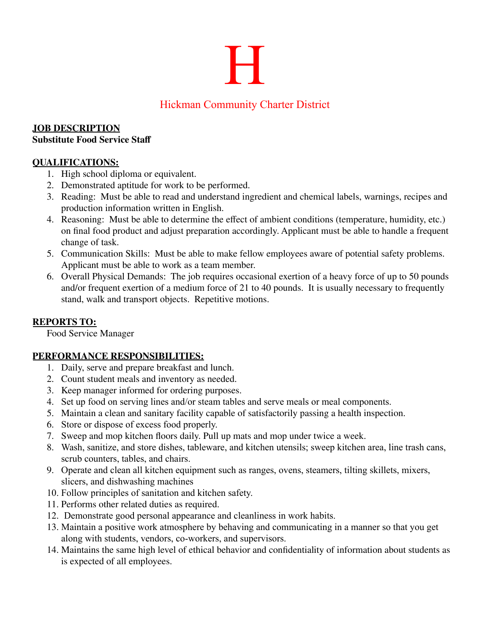# H

# Hickman Community Charter District

#### **JOB DESCRIPTION Substitute Food Service Staff**

## **QUALIFICATIONS:**

- 1. High school diploma or equivalent.
- 2. Demonstrated aptitude for work to be performed.
- 3. Reading: Must be able to read and understand ingredient and chemical labels, warnings, recipes and production information written in English.
- 4. Reasoning: Must be able to determine the effect of ambient conditions (temperature, humidity, etc.) on final food product and adjust preparation accordingly. Applicant must be able to handle a frequent change of task.
- 5. Communication Skills: Must be able to make fellow employees aware of potential safety problems. Applicant must be able to work as a team member.
- 6. Overall Physical Demands: The job requires occasional exertion of a heavy force of up to 50 pounds and/or frequent exertion of a medium force of 21 to 40 pounds. It is usually necessary to frequently stand, walk and transport objects. Repetitive motions.

#### **REPORTS TO:**

Food Service Manager

#### **PERFORMANCE RESPONSIBILITIES:**

- 1. Daily, serve and prepare breakfast and lunch.
- 2. Count student meals and inventory as needed.
- 3. Keep manager informed for ordering purposes.
- 4. Set up food on serving lines and/or steam tables and serve meals or meal components.
- 5. Maintain a clean and sanitary facility capable of satisfactorily passing a health inspection.
- 6. Store or dispose of excess food properly.
- 7. Sweep and mop kitchen floors daily. Pull up mats and mop under twice a week.
- 8. Wash, sanitize, and store dishes, tableware, and kitchen utensils; sweep kitchen area, line trash cans, scrub counters, tables, and chairs.
- 9. Operate and clean all kitchen equipment such as ranges, ovens, steamers, tilting skillets, mixers, slicers, and dishwashing machines
- 10. Follow principles of sanitation and kitchen safety.
- 11. Performs other related duties as required.
- 12. Demonstrate good personal appearance and cleanliness in work habits.
- 13. Maintain a positive work atmosphere by behaving and communicating in a manner so that you get along with students, vendors, co-workers, and supervisors.
- 14. Maintains the same high level of ethical behavior and confidentiality of information about students as is expected of all employees.